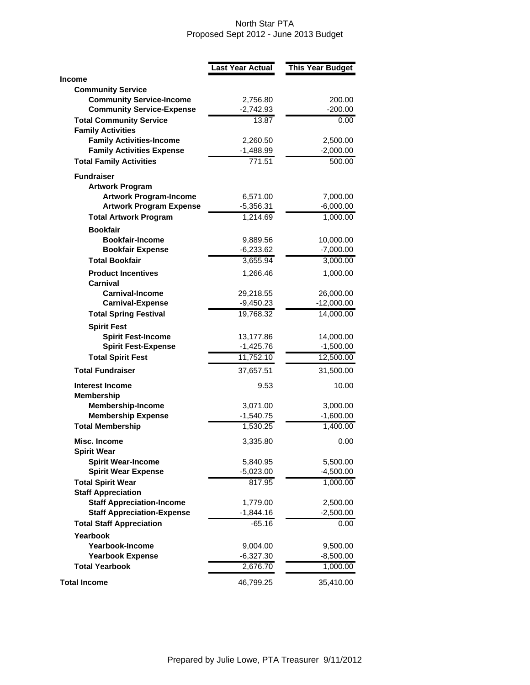## North Star PTA Proposed Sept 2012 - June 2013 Budget

|                                                             | <b>Last Year Actual</b> | <b>This Year Budget</b> |
|-------------------------------------------------------------|-------------------------|-------------------------|
| <b>Income</b>                                               |                         |                         |
| <b>Community Service</b>                                    |                         |                         |
| <b>Community Service-Income</b>                             | 2,756.80                | 200.00                  |
| <b>Community Service-Expense</b>                            | $-2,742.93$             | $-200.00$               |
| <b>Total Community Service</b>                              | 13.87                   | 0.00                    |
| <b>Family Activities</b><br><b>Family Activities-Income</b> |                         |                         |
| <b>Family Activities Expense</b>                            | 2,260.50<br>$-1,488.99$ | 2,500.00<br>$-2,000.00$ |
| <b>Total Family Activities</b>                              | 771.51                  | 500.00                  |
|                                                             |                         |                         |
| <b>Fundraiser</b>                                           |                         |                         |
| <b>Artwork Program</b><br><b>Artwork Program-Income</b>     |                         |                         |
| <b>Artwork Program Expense</b>                              | 6,571.00<br>$-5,356.31$ | 7,000.00<br>$-6,000.00$ |
| <b>Total Artwork Program</b>                                | 1,214.69                | 1,000.00                |
| <b>Bookfair</b>                                             |                         |                         |
| <b>Bookfair-Income</b>                                      | 9,889.56                | 10,000.00               |
| <b>Bookfair Expense</b>                                     | $-6,233.62$             | $-7,000.00$             |
| <b>Total Bookfair</b>                                       | 3,655.94                | 3,000.00                |
| <b>Product Incentives</b>                                   | 1,266.46                | 1,000.00                |
| Carnival                                                    |                         |                         |
| <b>Carnival-Income</b>                                      | 29,218.55               | 26,000.00               |
| <b>Carnival-Expense</b>                                     | $-9,450.23$             | $-12,000.00$            |
| <b>Total Spring Festival</b>                                | 19,768.32               | 14,000.00               |
| <b>Spirit Fest</b>                                          |                         |                         |
| <b>Spirit Fest-Income</b>                                   | 13,177.86               | 14,000.00               |
| <b>Spirit Fest-Expense</b>                                  | $-1,425.76$             | $-1,500.00$             |
| <b>Total Spirit Fest</b>                                    | 11,752.10               | 12,500.00               |
| <b>Total Fundraiser</b>                                     | 37,657.51               | 31,500.00               |
| Interest Income                                             | 9.53                    | 10.00                   |
| <b>Membership</b>                                           |                         |                         |
| <b>Membership-Income</b>                                    | 3,071.00                | 3,000.00                |
| <b>Membership Expense</b>                                   | $-1,540.75$             | $-1,600.00$             |
| <b>Total Membership</b>                                     | 1,530.25                | 1,400.00                |
| Misc. Income<br><b>Spirit Wear</b>                          | 3,335.80                | 0.00                    |
| <b>Spirit Wear-Income</b>                                   | 5,840.95                | 5,500.00                |
| <b>Spirit Wear Expense</b>                                  | $-5,023.00$             | $-4,500.00$             |
| <b>Total Spirit Wear</b>                                    | 817.95                  | 1,000.00                |
| <b>Staff Appreciation</b>                                   |                         |                         |
| <b>Staff Appreciation-Income</b>                            | 1,779.00                | 2,500.00                |
| <b>Staff Appreciation-Expense</b>                           | $-1,844.16$             | $-2,500.00$             |
| <b>Total Staff Appreciation</b>                             | $-65.16$                | 0.00                    |
| Yearbook                                                    |                         |                         |
| Yearbook-Income                                             | 9,004.00                | 9,500.00                |
| <b>Yearbook Expense</b>                                     | $-6,327.30$             | $-8,500.00$             |
| <b>Total Yearbook</b>                                       | 2,676.70                | 1,000.00                |
| <b>Total Income</b>                                         | 46,799.25               | 35,410.00               |